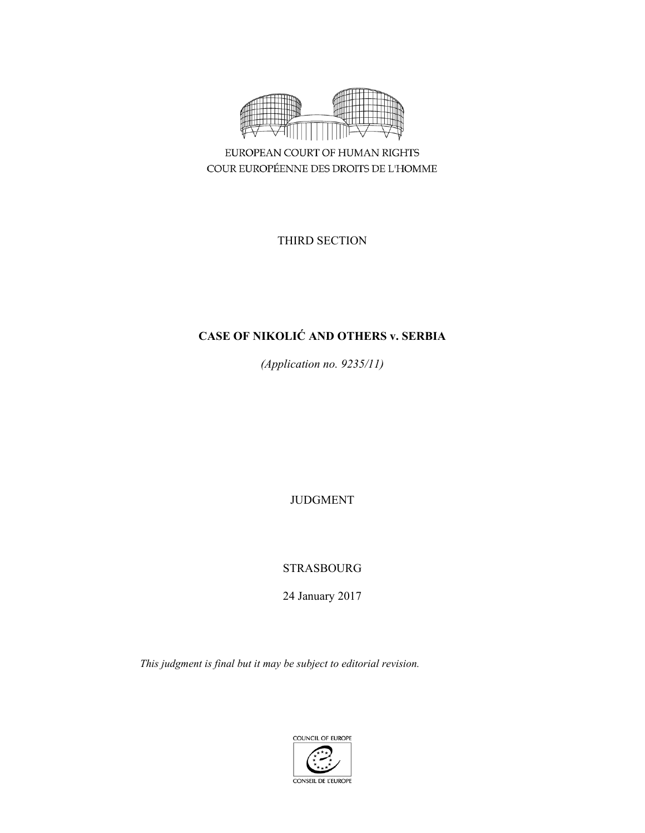

EUROPEAN COURT OF HUMAN RIGHTS COUR EUROPÉENNE DES DROITS DE L'HOMME

THIRD SECTION

# **CASE OF NIKOLIĆ AND OTHERS v. SERBIA**

*(Application no. 9235/11)* 

JUDGMENT

STRASBOURG

24 January 2017

*This judgment is final but it may be subject to editorial revision.*

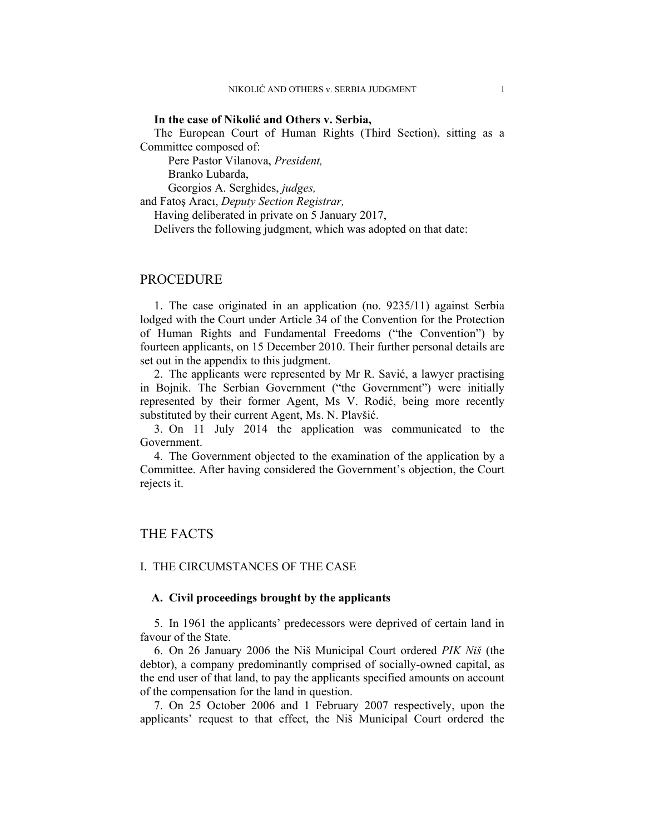### **In the case of Nikolić and Others v. Serbia,**

The European Court of Human Rights (Third Section), sitting as a Committee composed of:

Pere Pastor Vilanova, *President,* 

Branko Lubarda,

Georgios A. Serghides, *judges,*

and Fatoş Aracı, *Deputy Section Registrar,*

Having deliberated in private on 5 January 2017,

Delivers the following judgment, which was adopted on that date:

## PROCEDURE

1. The case originated in an application (no. 9235/11) against Serbia lodged with the Court under Article 34 of the Convention for the Protection of Human Rights and Fundamental Freedoms ("the Convention") by fourteen applicants, on 15 December 2010. Their further personal details are set out in the appendix to this judgment.

2. The applicants were represented by Mr R. Savić, a lawyer practising in Bojnik. The Serbian Government ("the Government") were initially represented by their former Agent, Ms V. Rodić, being more recently substituted by their current Agent, Ms. N. Plavšić.

3. On 11 July 2014 the application was communicated to the Government.

4. The Government objected to the examination of the application by a Committee. After having considered the Government's objection, the Court rejects it.

## THE FACTS

## I. THE CIRCUMSTANCES OF THE CASE

### **A. Civil proceedings brought by the applicants**

5. In 1961 the applicants' predecessors were deprived of certain land in favour of the State.

6. On 26 January 2006 the Niš Municipal Court ordered *PIK Niš* (the debtor), a company predominantly comprised of socially-owned capital, as the end user of that land, to pay the applicants specified amounts on account of the compensation for the land in question.

7. On 25 October 2006 and 1 February 2007 respectively, upon the applicants' request to that effect, the Niš Municipal Court ordered the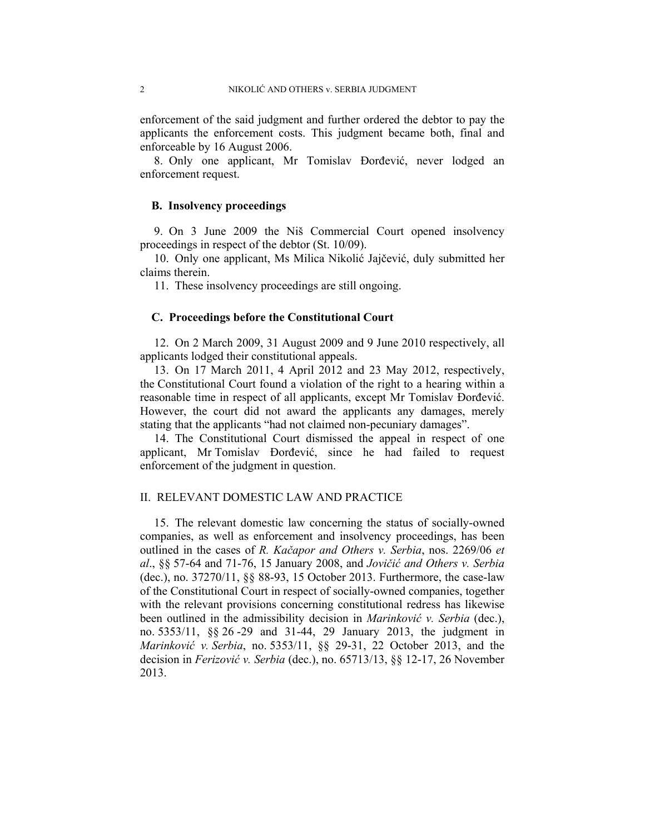enforcement of the said judgment and further ordered the debtor to pay the applicants the enforcement costs. This judgment became both, final and enforceable by 16 August 2006.

8. Only one applicant, Mr Tomislav Đorđević, never lodged an enforcement request.

## **B. Insolvency proceedings**

9. On 3 June 2009 the Niš Commercial Court opened insolvency proceedings in respect of the debtor (St. 10/09).

10. Only one applicant, Ms Milica Nikolić Jajčević, duly submitted her claims therein.

11. These insolvency proceedings are still ongoing.

## **C. Proceedings before the Constitutional Court**

12. On 2 March 2009, 31 August 2009 and 9 June 2010 respectively, all applicants lodged their constitutional appeals.

13. On 17 March 2011, 4 April 2012 and 23 May 2012, respectively, the Constitutional Court found a violation of the right to a hearing within a reasonable time in respect of all applicants, except Mr Tomislav Đorđević. However, the court did not award the applicants any damages, merely stating that the applicants "had not claimed non-pecuniary damages".

14. The Constitutional Court dismissed the appeal in respect of one applicant, Mr Tomislav Đorđević, since he had failed to request enforcement of the judgment in question.

## II. RELEVANT DOMESTIC LAW AND PRACTICE

15. The relevant domestic law concerning the status of socially-owned companies, as well as enforcement and insolvency proceedings, has been outlined in the cases of *R. Kačapor and Others v. Serbia*, nos. 2269/06 *et al*., §§ 57-64 and 71-76, 15 January 2008, and *Jovičić and Others v. Serbia* (dec.), no. 37270/11, §§ 88-93, 15 October 2013. Furthermore, the case-law of the Constitutional Court in respect of socially-owned companies, together with the relevant provisions concerning constitutional redress has likewise been outlined in the admissibility decision in *Marinković v. Serbia* (dec.), no. 5353/11, §§ 26 -29 and 31-44, 29 January 2013, the judgment in *Marinković v. Serbia*, no. 5353/11, §§ 29-31, 22 October 2013, and the decision in *Ferizović v. Serbia* (dec.), no. 65713/13, §§ 12-17, 26 November 2013.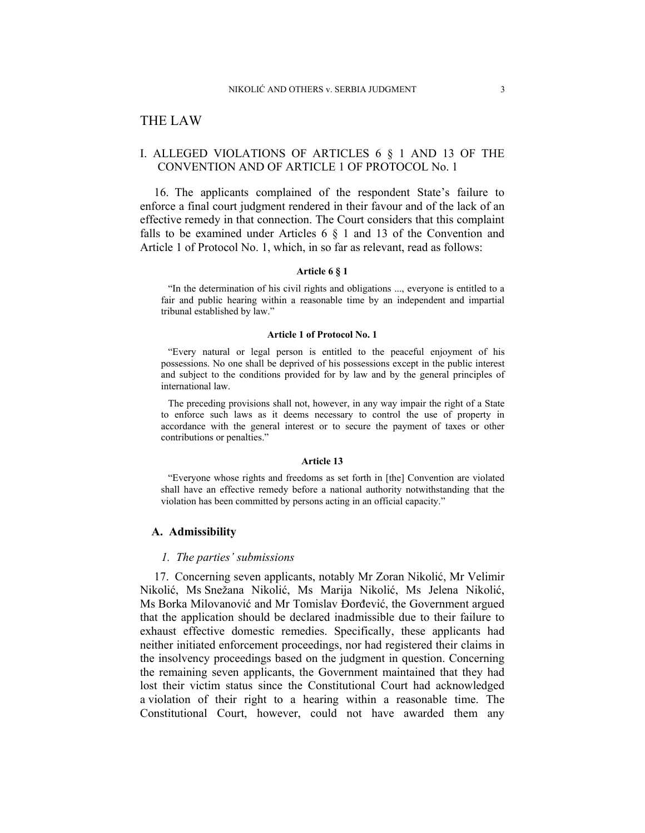## THE LAW

## I. ALLEGED VIOLATIONS OF ARTICLES 6 § 1 AND 13 OF THE CONVENTION AND OF ARTICLE 1 OF PROTOCOL No. 1

16. The applicants complained of the respondent State's failure to enforce a final court judgment rendered in their favour and of the lack of an effective remedy in that connection. The Court considers that this complaint falls to be examined under Articles  $6 \nless 1$  and  $13$  of the Convention and Article 1 of Protocol No. 1, which, in so far as relevant, read as follows:

#### **Article 6 § 1**

"In the determination of his civil rights and obligations ..., everyone is entitled to a fair and public hearing within a reasonable time by an independent and impartial tribunal established by law."

#### **Article 1 of Protocol No. 1**

"Every natural or legal person is entitled to the peaceful enjoyment of his possessions. No one shall be deprived of his possessions except in the public interest and subject to the conditions provided for by law and by the general principles of international law.

The preceding provisions shall not, however, in any way impair the right of a State to enforce such laws as it deems necessary to control the use of property in accordance with the general interest or to secure the payment of taxes or other contributions or penalties."

#### **Article 13**

"Everyone whose rights and freedoms as set forth in [the] Convention are violated shall have an effective remedy before a national authority notwithstanding that the violation has been committed by persons acting in an official capacity."

### **A. Admissibility**

#### *1. The parties' submissions*

17. Concerning seven applicants, notably Mr Zoran Nikolić, Mr Velimir Nikolić, Ms Snežana Nikolić, Ms Marija Nikolić, Ms Jelena Nikolić, Ms Borka Milovanović and Mr Tomislav Đorđević, the Government argued that the application should be declared inadmissible due to their failure to exhaust effective domestic remedies. Specifically, these applicants had neither initiated enforcement proceedings, nor had registered their claims in the insolvency proceedings based on the judgment in question. Concerning the remaining seven applicants, the Government maintained that they had lost their victim status since the Constitutional Court had acknowledged a violation of their right to a hearing within a reasonable time. The Constitutional Court, however, could not have awarded them any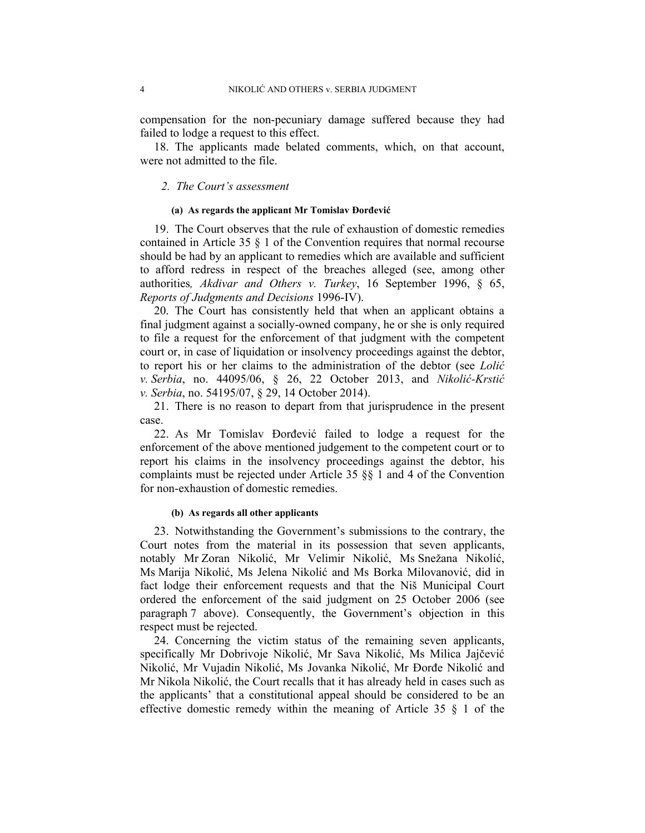compensation for the non-pecuniary damage suffered because they had failed to lodge a request to this effect.

18. The applicants made belated comments, which, on that account, were not admitted to the file.

## *2. The Court's assessment*

#### **(a) As regards the applicant Mr Tomislav Đorđević**

19. The Court observes that the rule of exhaustion of domestic remedies contained in Article 35 § 1 of the Convention requires that normal recourse should be had by an applicant to remedies which are available and sufficient to afford redress in respect of the breaches alleged (see, among other authorities*, Akdivar and Others v. Turkey*, 16 September 1996, § 65, *Reports of Judgments and Decisions* 1996-IV).

20. The Court has consistently held that when an applicant obtains a final judgment against a socially-owned company, he or she is only required to file a request for the enforcement of that judgment with the competent court or, in case of liquidation or insolvency proceedings against the debtor, to report his or her claims to the administration of the debtor (see *Lolić v. Serbia*, no. 44095/06, § 26, 22 October 2013, and *Nikolić-Krstić v. Serbia*, no. 54195/07, § 29, 14 October 2014).

21. There is no reason to depart from that jurisprudence in the present case.

22. As Mr Tomislav Đorđević failed to lodge a request for the enforcement of the above mentioned judgement to the competent court or to report his claims in the insolvency proceedings against the debtor, his complaints must be rejected under Article 35 §§ 1 and 4 of the Convention for non-exhaustion of domestic remedies.

#### **(b) As regards all other applicants**

23. Notwithstanding the Government's submissions to the contrary, the Court notes from the material in its possession that seven applicants, notably Mr Zoran Nikolić, Mr Velimir Nikolić, Ms Snežana Nikolić, Ms Marija Nikolić, Ms Jelena Nikolić and Ms Borka Milovanović, did in fact lodge their enforcement requests and that the Niš Municipal Court ordered the enforcement of the said judgment on 25 October 2006 (see paragraph 7 above). Consequently, the Government's objection in this respect must be rejected.

24. Concerning the victim status of the remaining seven applicants, specifically Mr Dobrivoje Nikolić, Mr Sava Nikolić, Ms Milica Jajčević Nikolić, Mr Vujadin Nikolić, Ms Jovanka Nikolić, Mr Đorđe Nikolić and Mr Nikola Nikolić, the Court recalls that it has already held in cases such as the applicants' that a constitutional appeal should be considered to be an effective domestic remedy within the meaning of Article 35 § 1 of the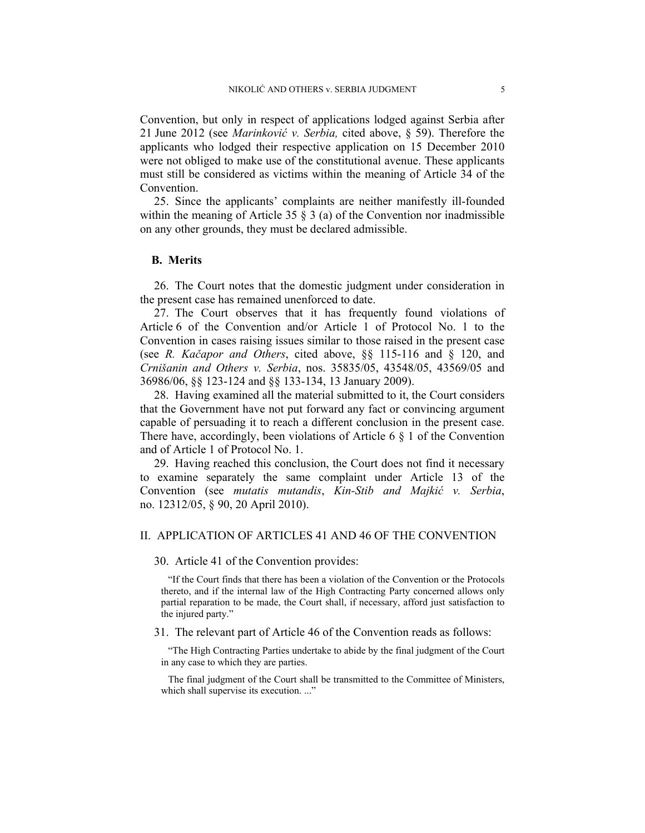Convention, but only in respect of applications lodged against Serbia after 21 June 2012 (see *Marinković v. Serbia,* cited above, § 59). Therefore the applicants who lodged their respective application on 15 December 2010 were not obliged to make use of the constitutional avenue. These applicants must still be considered as victims within the meaning of Article 34 of the Convention.

25. Since the applicants' complaints are neither manifestly ill-founded within the meaning of Article 35  $\S$  3 (a) of the Convention nor inadmissible on any other grounds, they must be declared admissible.

## **B. Merits**

26. The Court notes that the domestic judgment under consideration in the present case has remained unenforced to date.

27. The Court observes that it has frequently found violations of Article 6 of the Convention and/or Article 1 of Protocol No. 1 to the Convention in cases raising issues similar to those raised in the present case (see *R. Kačapor and Others*, cited above, §§ 115-116 and § 120, and *Crnišanin and Others v. Serbia*, nos. 35835/05, 43548/05, 43569/05 and 36986/06, §§ 123-124 and §§ 133-134, 13 January 2009).

28. Having examined all the material submitted to it, the Court considers that the Government have not put forward any fact or convincing argument capable of persuading it to reach a different conclusion in the present case. There have, accordingly, been violations of Article 6 § 1 of the Convention and of Article 1 of Protocol No. 1.

29. Having reached this conclusion, the Court does not find it necessary to examine separately the same complaint under Article 13 of the Convention (see *mutatis mutandis*, *Kin-Stib and Majkić v. Serbia*, no. 12312/05, § 90, 20 April 2010).

## II. APPLICATION OF ARTICLES 41 AND 46 OF THE CONVENTION

#### 30. Article 41 of the Convention provides:

"If the Court finds that there has been a violation of the Convention or the Protocols thereto, and if the internal law of the High Contracting Party concerned allows only partial reparation to be made, the Court shall, if necessary, afford just satisfaction to the injured party."

#### 31. The relevant part of Article 46 of the Convention reads as follows:

"The High Contracting Parties undertake to abide by the final judgment of the Court in any case to which they are parties.

The final judgment of the Court shall be transmitted to the Committee of Ministers, which shall supervise its execution. ..."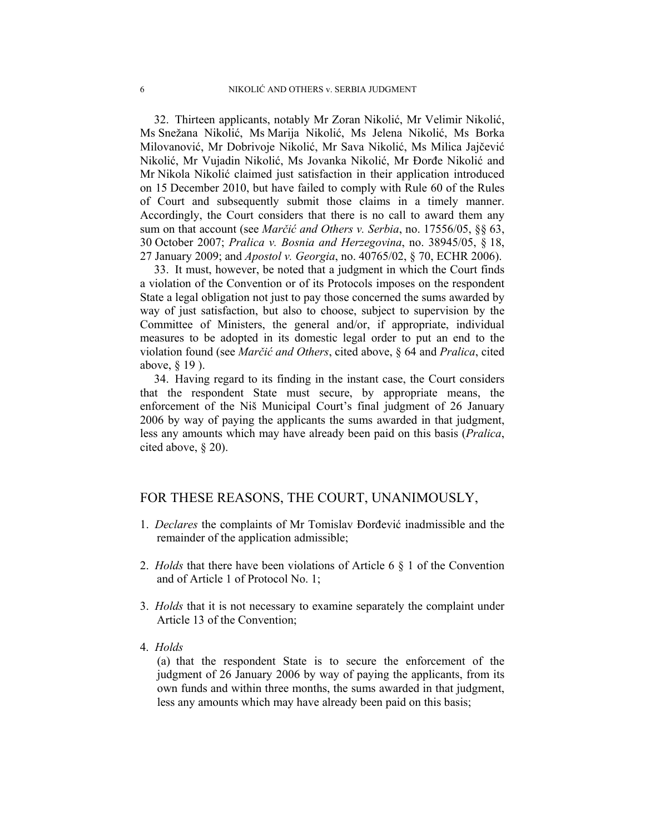32. Thirteen applicants, notably Mr Zoran Nikolić, Mr Velimir Nikolić, Ms Snežana Nikolić, Ms Marija Nikolić, Ms Jelena Nikolić, Ms Borka Milovanović, Mr Dobrivoje Nikolić, Mr Sava Nikolić, Ms Milica Jajčević Nikolić, Mr Vujadin Nikolić, Ms Jovanka Nikolić, Mr Đorđe Nikolić and Mr Nikola Nikolić claimed just satisfaction in their application introduced on 15 December 2010, but have failed to comply with Rule 60 of the Rules of Court and subsequently submit those claims in a timely manner. Accordingly, the Court considers that there is no call to award them any sum on that account (see *Marčić and Others v. Serbia*, no. 17556/05, §§ 63, 30 October 2007; *Pralica v. Bosnia and Herzegovina*, no. 38945/05, § 18, 27 January 2009; and *Apostol v. Georgia*, no. 40765/02, § 70, ECHR 2006).

33. It must, however, be noted that a judgment in which the Court finds a violation of the Convention or of its Protocols imposes on the respondent State a legal obligation not just to pay those concerned the sums awarded by way of just satisfaction, but also to choose, subject to supervision by the Committee of Ministers, the general and/or, if appropriate, individual measures to be adopted in its domestic legal order to put an end to the violation found (see *Marčić and Others*, cited above, § 64 and *Pralica*, cited above, § 19 ).

34. Having regard to its finding in the instant case, the Court considers that the respondent State must secure, by appropriate means, the enforcement of the Niš Municipal Court's final judgment of 26 January 2006 by way of paying the applicants the sums awarded in that judgment, less any amounts which may have already been paid on this basis (*Pralica*, cited above, § 20).

## FOR THESE REASONS, THE COURT, UNANIMOUSLY,

- 1. *Declares* the complaints of Mr Tomislav Đorđević inadmissible and the remainder of the application admissible;
- 2. *Holds* that there have been violations of Article 6 § 1 of the Convention and of Article 1 of Protocol No. 1;
- 3. *Holds* that it is not necessary to examine separately the complaint under Article 13 of the Convention;
- 4. *Holds*

(a) that the respondent State is to secure the enforcement of the judgment of 26 January 2006 by way of paying the applicants, from its own funds and within three months, the sums awarded in that judgment, less any amounts which may have already been paid on this basis;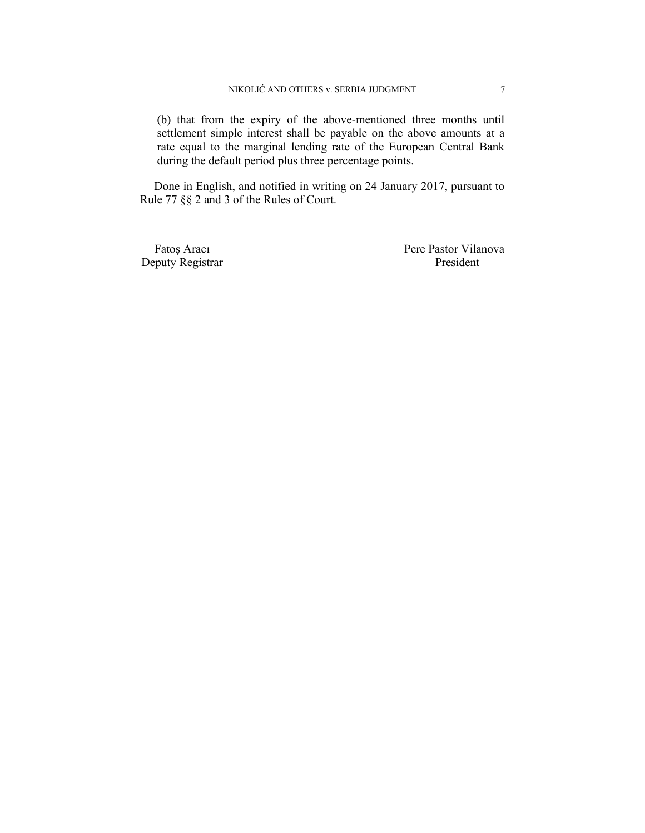(b) that from the expiry of the above-mentioned three months until settlement simple interest shall be payable on the above amounts at a rate equal to the marginal lending rate of the European Central Bank during the default period plus three percentage points.

Done in English, and notified in writing on 24 January 2017, pursuant to Rule 77 §§ 2 and 3 of the Rules of Court.

Deputy Registrar President

Fatoş Aracı Pere Pastor Vilanova